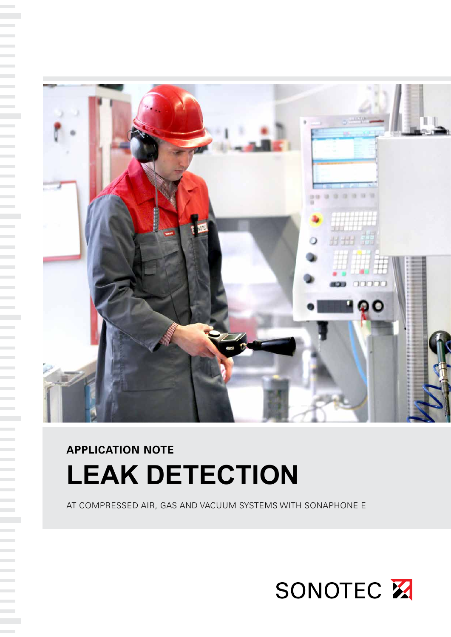

# **APPLICATION NOTE LEAK DETECTION**

AT COMPRESSED AIR, GAS AND VACUUM SYSTEMS WITH SONAPHONE E

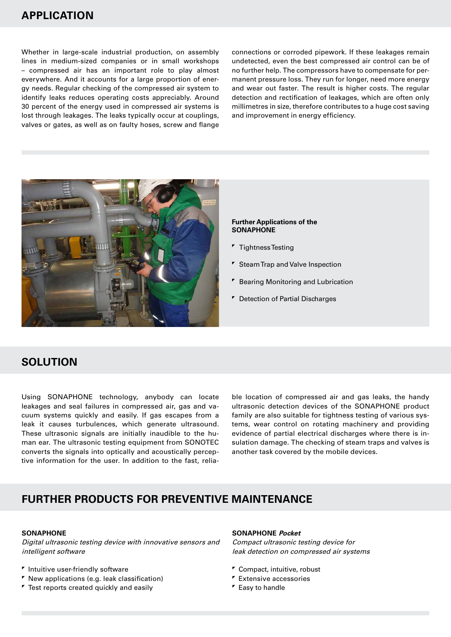# **APPLICATION**

Whether in large-scale industrial production, on assembly lines in medium-sized companies or in small workshops – compressed air has an important role to play almost everywhere. And it accounts for a large proportion of energy needs. Regular checking of the compressed air system to identify leaks reduces operating costs appreciably. Around 30 percent of the energy used in compressed air systems is lost through leakages. The leaks typically occur at couplings, valves or gates, as well as on faulty hoses, screw and flange connections or corroded pipework. If these leakages remain undetected, even the best compressed air control can be of no further help. The compressors have to compensate for permanent pressure loss. They run for longer, need more energy and wear out faster. The result is higher costs. The regular detection and rectification of leakages, which are often only millimetres in size, therefore contributes to a huge cost saving and improvement in energy efficiency.



#### **Further Applications of the SONAPHONE**

- **Tightness Testing**
- **F** Steam Trap and Valve Inspection
- **F** Bearing Monitoring and Lubrication
- **F** Detection of Partial Discharges

## **SOLUTION**

Using SONAPHONE technology, anybody can locate leakages and seal failures in compressed air, gas and vacuum systems quickly and easily. If gas escapes from a leak it causes turbulences, which generate ultrasound. These ultrasonic signals are initially inaudible to the human ear. The ultrasonic testing equipment from SONOTEC converts the signals into optically and acoustically perceptive information for the user. In addition to the fast, reliable location of compressed air and gas leaks, the handy ultrasonic detection devices of the SONAPHONE product family are also suitable for tightness testing of various systems, wear control on rotating machinery and providing evidence of partial electrical discharges where there is insulation damage. The checking of steam traps and valves is another task covered by the mobile devices.

## **FURTHER PRODUCTS FOR PREVENTIVE MAINTENANCE**

## **SONAPHONE**

Digital ultrasonic testing device with innovative sensors and intelligent software

### $<sup>r</sup>$  Intuitive user-friendly software</sup>

- New applications (e.g. leak classification)
- **Test reports created quickly and easily**

#### **SONAPHONE Pocket**

Compact ultrasonic testing device for leak detection on compressed air systems

- Compact, intuitive, robust
- **Extensive accessories**
- **F** Easy to handle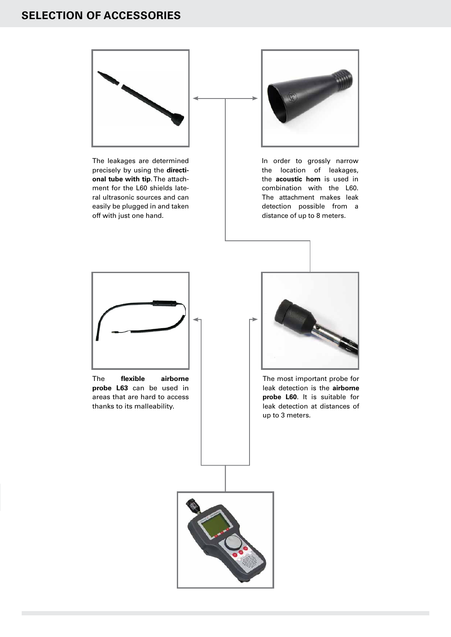# **AUSWAHL DES PASSENDEN ZUBEHÖRS SELECTION OF ACCESSORIES**